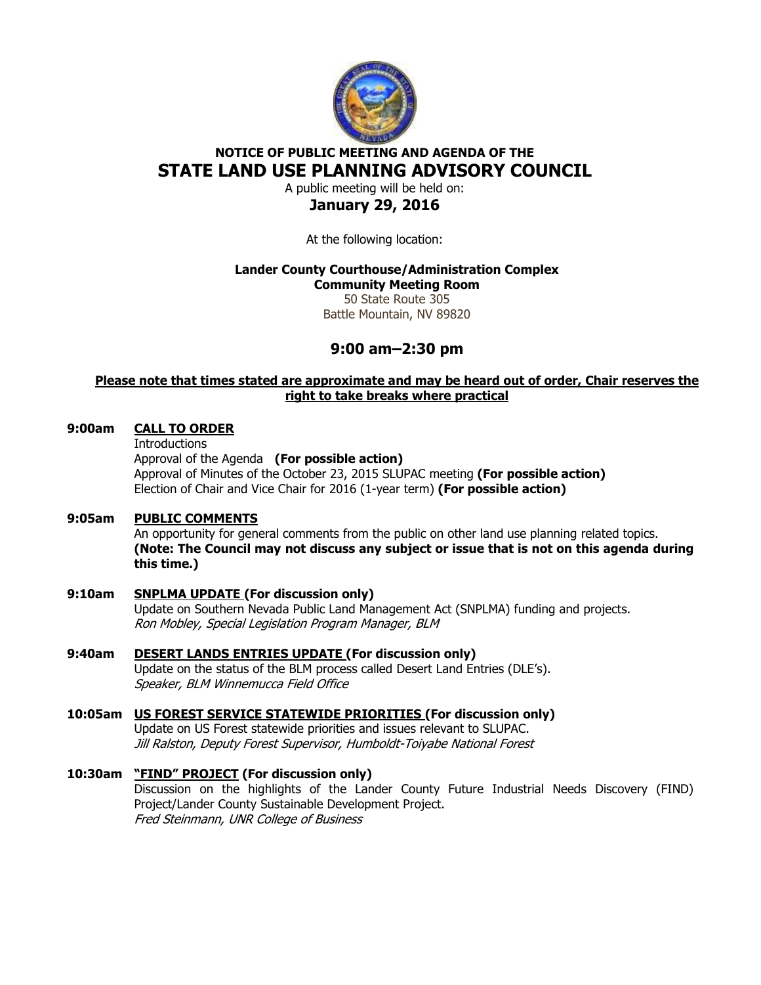

# **NOTICE OF PUBLIC MEETING AND AGENDA OF THE STATE LAND USE PLANNING ADVISORY COUNCIL**

A public meeting will be held on: **January 29, 2016** 

At the following location:

### **Lander County Courthouse/Administration Complex**

**Community Meeting Room**  50 State Route 305 Battle Mountain, NV 89820

## **9:00 am–2:30 pm**

### **Please note that times stated are approximate and may be heard out of order, Chair reserves the right to take breaks where practical**

#### **9:00am CALL TO ORDER**

**Introductions** 

 Approval of the Agenda **(For possible action)** Approval of Minutes of the October 23, 2015 SLUPAC meeting **(For possible action)**  Election of Chair and Vice Chair for 2016 (1-year term) **(For possible action)** 

#### **9:05am PUBLIC COMMENTS**

An opportunity for general comments from the public on other land use planning related topics. **(Note: The Council may not discuss any subject or issue that is not on this agenda during this time.)** 

- **9:10am SNPLMA UPDATE (For discussion only)**  Update on Southern Nevada Public Land Management Act (SNPLMA) funding and projects. Ron Mobley, Special Legislation Program Manager, BLM
- **9:40am DESERT LANDS ENTRIES UPDATE (For discussion only)**  Update on the status of the BLM process called Desert Land Entries (DLE's). Speaker, BLM Winnemucca Field Office
- **10:05am US FOREST SERVICE STATEWIDE PRIORITIES (For discussion only)**  Update on US Forest statewide priorities and issues relevant to SLUPAC. Jill Ralston, Deputy Forest Supervisor, Humboldt-Toiyabe National Forest
- **10:30am "FIND" PROJECT (For discussion only)**  Discussion on the highlights of the Lander County Future Industrial Needs Discovery (FIND) Project/Lander County Sustainable Development Project. Fred Steinmann, UNR College of Business